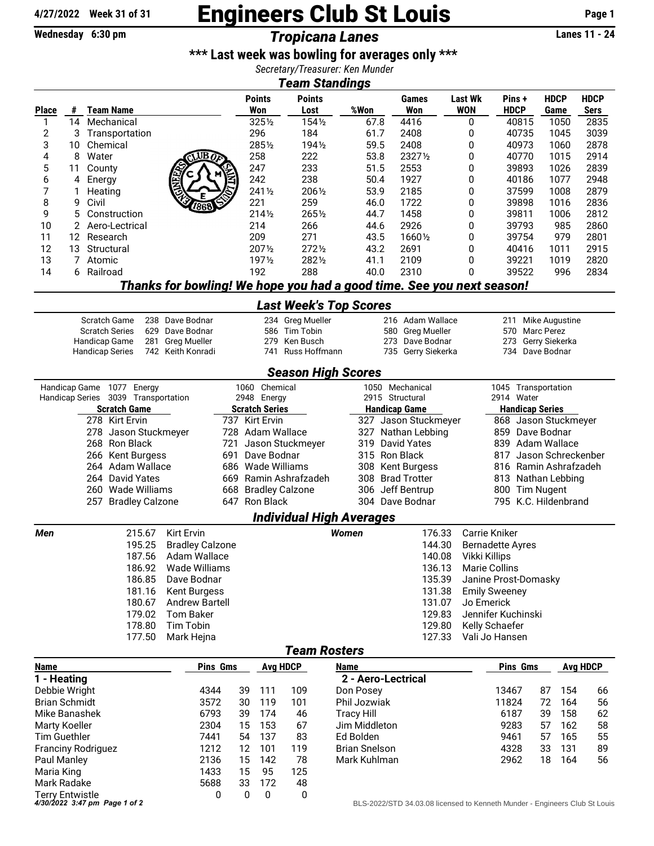## **4/27/2022 Week 31 of 31** Engineers Club St Louis **Page 1**

## **Wednesday 6:30 pm** *Tropicana Lanes* **Lanes 11 - 24**

## **\*\*\* Last week was bowling for averages only \*\*\***

*Secretary/Treasurer: Ken Munder*

| <b>Team Standings</b> |
|-----------------------|
|                       |

| <i>i</i> eam Standings        |    |                                                                  |                                                                       |                                                                 |                                           |                               |                      |                                    |                                                                            |                              |                                   |                     |     |                            |  |
|-------------------------------|----|------------------------------------------------------------------|-----------------------------------------------------------------------|-----------------------------------------------------------------|-------------------------------------------|-------------------------------|----------------------|------------------------------------|----------------------------------------------------------------------------|------------------------------|-----------------------------------|---------------------|-----|----------------------------|--|
| <b>Place</b>                  | #  | <b>Team Name</b>                                                 |                                                                       |                                                                 | <b>Points</b><br>Won                      | <b>Points</b><br>Lost         | %Won                 |                                    | Games<br>Won                                                               | <b>Last Wk</b><br><b>WON</b> | Pins+<br><b>HDCP</b>              | <b>HDCP</b><br>Game |     | <b>HDCP</b><br><b>Sers</b> |  |
| 1                             | 14 | Mechanical                                                       |                                                                       |                                                                 | 3251/2                                    | 1541/2                        | 67.8                 |                                    | 4416                                                                       | 0                            | 40815                             | 1050                |     | 2835                       |  |
| 2                             | 3  | Transportation                                                   |                                                                       |                                                                 | 296                                       | 184                           | 61.7                 |                                    | 2408                                                                       | 0                            | 40735                             | 1045                |     | 3039                       |  |
| 3                             | 10 | Chemical                                                         |                                                                       |                                                                 | 2851/2                                    | 1941/2                        | 59.5                 |                                    | 2408                                                                       | 0                            | 40973                             | 1060                |     | 2878                       |  |
| 4                             | 8  | Water                                                            | UB                                                                    |                                                                 | 258                                       | 222                           | 53.8                 |                                    | 23271/2                                                                    | 0                            | 40770                             | 1015                |     | 2914                       |  |
| 5                             | 11 | County                                                           |                                                                       |                                                                 | 247                                       | 233                           | 51.5                 |                                    | 2553                                                                       | 0                            | 39893                             | 1026                |     | 2839                       |  |
| 6                             | 4  | Energy                                                           |                                                                       |                                                                 | 242                                       | 238                           | 50.4                 |                                    | 1927                                                                       | 0                            | 40186                             | 1077                |     | 2948                       |  |
| 7                             | 1  | Heating                                                          |                                                                       |                                                                 | 2411/2                                    | 2061/2                        | 53.9                 |                                    | 2185                                                                       | 0                            | 37599                             | 1008                |     | 2879                       |  |
| 8                             | 9  | Civil                                                            |                                                                       |                                                                 | 221                                       | 259                           | 46.0                 |                                    | 1722                                                                       | 0                            | 39898                             | 1016                |     | 2836                       |  |
| 9                             | 5  | Construction                                                     |                                                                       |                                                                 | 2141/2                                    | 2651/2                        | 44.7                 |                                    | 1458                                                                       | 0                            | 39811                             | 1006                |     | 2812                       |  |
| 10                            | 2  | Aero-Lectrical                                                   |                                                                       |                                                                 | 214                                       | 266                           | 44.6                 |                                    | 2926                                                                       | 0                            | 39793                             | 985                 |     | 2860                       |  |
| 11                            | 12 | Research                                                         |                                                                       |                                                                 | 209                                       | 271                           | 43.5                 |                                    | 16601/2                                                                    | 0                            | 39754                             | 979                 |     | 2801                       |  |
| 12                            | 13 | Structural                                                       |                                                                       |                                                                 | 2071/2                                    | 2721/2                        | 43.2                 |                                    | 2691                                                                       | 0                            | 40416                             | 1011                |     | 2915                       |  |
| 13                            | 7  | Atomic                                                           |                                                                       |                                                                 | 1971/2                                    | 2821/2                        | 41.1                 |                                    | 2109                                                                       | 0                            | 39221                             | 1019                |     | 2820                       |  |
| 14                            |    | 6 Railroad                                                       |                                                                       |                                                                 | 192                                       | 288                           | 40.0                 |                                    | 2310                                                                       | 0                            | 39522                             | 996                 |     | 2834                       |  |
|                               |    |                                                                  | Thanks for bowling! We hope you had a good time. See you next season! |                                                                 |                                           |                               |                      |                                    |                                                                            |                              |                                   |                     |     |                            |  |
|                               |    |                                                                  |                                                                       |                                                                 |                                           | <b>Last Week's Top Scores</b> |                      |                                    |                                                                            |                              |                                   |                     |     |                            |  |
|                               |    | Scratch Game                                                     | 238 Dave Bodnar                                                       |                                                                 |                                           | 234 Greg Mueller              |                      |                                    | 216 Adam Wallace                                                           |                              | Mike Augustine<br>211             |                     |     |                            |  |
|                               |    | <b>Scratch Series</b>                                            | 629 Dave Bodnar                                                       | 586 Tim Tobin                                                   |                                           |                               |                      | 580 Greg Mueller                   |                                                                            |                              | 570 Marc Perez                    |                     |     |                            |  |
|                               |    | 281<br>Handicap Game                                             | <b>Greg Mueller</b>                                                   |                                                                 | 279                                       | Ken Busch                     |                      |                                    | 273 Dave Bodnar                                                            |                              | 273                               | Gerry Siekerka      |     |                            |  |
|                               |    | <b>Handicap Series</b>                                           | 742 Keith Konradi                                                     |                                                                 | 741                                       | Russ Hoffmann                 |                      |                                    | 735 Gerry Siekerka                                                         |                              | 734 Dave Bodnar                   |                     |     |                            |  |
|                               |    |                                                                  |                                                                       |                                                                 |                                           | <b>Season High Scores</b>     |                      |                                    |                                                                            |                              |                                   |                     |     |                            |  |
|                               |    | Handicap Game 1077 Energy<br>Handicap Series 3039 Transportation |                                                                       | 1060 Chemical<br>2948 Energy                                    |                                           |                               |                      | 1050 Mechanical<br>2915 Structural |                                                                            |                              | 1045 Transportation<br>2914 Water |                     |     |                            |  |
|                               |    | <b>Scratch Game</b>                                              |                                                                       |                                                                 |                                           |                               | <b>Handicap Game</b> |                                    |                                                                            |                              | <b>Handicap Series</b>            |                     |     |                            |  |
|                               |    | 278 Kirt Ervin                                                   |                                                                       | <b>Scratch Series</b><br>737 Kirt Ervin<br>327 Jason Stuckmeyer |                                           |                               |                      |                                    |                                                                            | 868 Jason Stuckmeyer         |                                   |                     |     |                            |  |
|                               |    | 278 Jason Stuckmeyer                                             |                                                                       | 728 Adam Wallace<br>327 Nathan Lebbing                          |                                           |                               |                      |                                    |                                                                            |                              | 859 Dave Bodnar                   |                     |     |                            |  |
|                               |    | 268 Ron Black                                                    |                                                                       | Jason Stuckmeyer<br>319 David Yates<br>721                      |                                           |                               |                      |                                    |                                                                            |                              | 839 Adam Wallace                  |                     |     |                            |  |
|                               |    | 266 Kent Burgess                                                 |                                                                       | Dave Bodnar<br>315 Ron Black<br>691                             |                                           |                               |                      |                                    |                                                                            | 817<br>Jason Schreckenber    |                                   |                     |     |                            |  |
|                               |    | 264 Adam Wallace                                                 |                                                                       | 686 Wade Williams<br>308 Kent Burgess                           |                                           |                               |                      |                                    |                                                                            |                              | 816 Ramin Ashrafzadeh             |                     |     |                            |  |
|                               |    | 264 David Yates                                                  |                                                                       |                                                                 | 669 Ramin Ashrafzadeh<br>308 Brad Trotter |                               |                      |                                    |                                                                            |                              | 813 Nathan Lebbing                |                     |     |                            |  |
|                               |    | 260 Wade Williams                                                |                                                                       |                                                                 | 306 Jeff Bentrup<br>668 Bradley Calzone   |                               |                      |                                    |                                                                            |                              | 800 Tim Nugent                    |                     |     |                            |  |
|                               |    | 257 Bradley Calzone                                              |                                                                       |                                                                 | 647 Ron Black<br>304 Dave Bodnar          |                               |                      |                                    |                                                                            |                              | 795 K.C. Hildenbrand              |                     |     |                            |  |
|                               |    |                                                                  |                                                                       |                                                                 |                                           | Individual High Averages      |                      |                                    |                                                                            |                              |                                   |                     |     |                            |  |
| Men                           |    | 215.67                                                           | Kirt Ervin                                                            |                                                                 |                                           |                               | Women                |                                    | 176.33                                                                     |                              | Carrie Kniker                     |                     |     |                            |  |
|                               |    | 195.25                                                           | <b>Bradley Calzone</b>                                                |                                                                 |                                           |                               |                      |                                    | 144.30                                                                     |                              | <b>Bernadette Ayres</b>           |                     |     |                            |  |
|                               |    | 187.56                                                           | Adam Wallace                                                          |                                                                 |                                           |                               |                      |                                    | 140.08                                                                     |                              | <b>Vikki Killips</b>              |                     |     |                            |  |
|                               |    | 186.92                                                           | Wade Williams                                                         |                                                                 |                                           |                               |                      |                                    | 136.13                                                                     |                              | <b>Marie Collins</b>              |                     |     |                            |  |
|                               |    | 186.85                                                           | Dave Bodnar                                                           |                                                                 |                                           |                               |                      |                                    | 135.39                                                                     |                              | Janine Prost-Domasky              |                     |     |                            |  |
|                               |    | 181.16                                                           | <b>Kent Burgess</b>                                                   |                                                                 |                                           |                               |                      |                                    | 131.38                                                                     |                              | <b>Emily Sweeney</b>              |                     |     |                            |  |
| 180.67                        |    |                                                                  | <b>Andrew Bartell</b>                                                 |                                                                 |                                           |                               |                      |                                    | 131.07                                                                     |                              | Jo Emerick                        |                     |     |                            |  |
|                               |    | 179.02                                                           | <b>Tom Baker</b>                                                      |                                                                 |                                           |                               |                      |                                    | 129.83                                                                     |                              | Jennifer Kuchinski                |                     |     |                            |  |
| 178.80                        |    |                                                                  | Tim Tobin                                                             |                                                                 |                                           |                               |                      |                                    | 129.80                                                                     |                              | Kelly Schaefer                    |                     |     |                            |  |
|                               |    | 177.50                                                           | Mark Hejna                                                            |                                                                 |                                           |                               |                      |                                    | 127.33                                                                     |                              | Vali Jo Hansen                    |                     |     |                            |  |
|                               |    |                                                                  |                                                                       |                                                                 |                                           | <b>Team Rosters</b>           |                      |                                    |                                                                            |                              |                                   |                     |     |                            |  |
| <b>Name</b>                   |    |                                                                  | <b>Pins Gms</b>                                                       | <b>Avg HDCP</b>                                                 |                                           |                               | <b>Name</b>          |                                    |                                                                            |                              | <b>Pins Gms</b>                   |                     |     | <b>Avg HDCP</b>            |  |
| 1 - Heating                   |    |                                                                  |                                                                       |                                                                 |                                           |                               | 2 - Aero-Lectrical   |                                    |                                                                            |                              |                                   |                     |     |                            |  |
| Debbie Wright                 |    |                                                                  | 4344                                                                  | 39                                                              | 111                                       | 109                           | Don Posey            |                                    |                                                                            |                              | 13467                             | 87                  | 154 | 66                         |  |
| <b>Brian Schmidt</b>          |    |                                                                  | 3572                                                                  | 30                                                              | 119                                       | 101                           | Phil Jozwiak         |                                    |                                                                            |                              | 11824                             | 72                  | 164 | 56                         |  |
| Mike Banashek                 |    |                                                                  | 6793                                                                  | 39                                                              | 174                                       | 46                            | <b>Tracy Hill</b>    |                                    |                                                                            |                              | 6187                              | 39                  | 158 | 62                         |  |
| Marty Koeller                 |    |                                                                  | 2304                                                                  | 15                                                              | 153                                       | 67                            | Jim Middleton        |                                    |                                                                            |                              | 9283                              | 57                  | 162 | 58                         |  |
| <b>Tim Guethler</b>           |    |                                                                  | 7441                                                                  | 54                                                              | 137                                       | 83                            | Ed Bolden            |                                    |                                                                            |                              | 9461                              | 57                  | 165 | 55                         |  |
| <b>Franciny Rodriguez</b>     |    |                                                                  | 1212                                                                  | 12                                                              | 101                                       | 119                           | <b>Brian Snelson</b> |                                    |                                                                            |                              | 4328                              | 33                  | 131 | 89                         |  |
| 2136<br>Paul Manley           |    |                                                                  |                                                                       | 15                                                              | 142                                       | 78                            | Mark Kuhlman         |                                    |                                                                            |                              | 2962                              | 18                  | 164 | 56                         |  |
| Maria King<br>1433            |    |                                                                  |                                                                       | 15                                                              | 95                                        | 125                           |                      |                                    |                                                                            |                              |                                   |                     |     |                            |  |
| Mark Radake<br>5688           |    |                                                                  |                                                                       | 33                                                              | 172                                       | 48                            |                      |                                    |                                                                            |                              |                                   |                     |     |                            |  |
| <b>Terry Entwistle</b><br>0   |    |                                                                  |                                                                       |                                                                 | 0<br>0                                    | 0                             |                      |                                    |                                                                            |                              |                                   |                     |     |                            |  |
| 4/30/2022 3:47 pm Page 1 of 2 |    |                                                                  |                                                                       |                                                                 |                                           |                               |                      |                                    | BLS-2022/STD 34.03.08 licensed to Kenneth Munder - Engineers Club St Louis |                              |                                   |                     |     |                            |  |